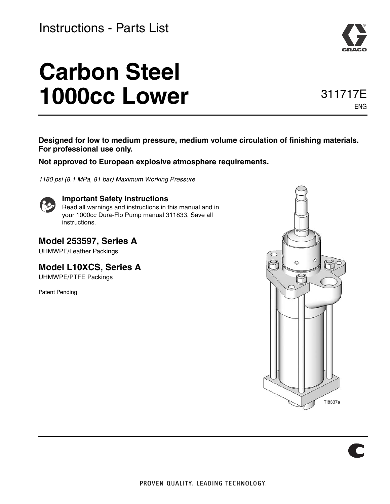### Instructions - Parts List

# **Carbon Steel 1000cc Lower**

### 311717E ENG

**Designed for low to medium pressure, medium volume circulation of finishing materials. For professional use only.**

**Not approved to European explosive atmosphere requirements.**

*1180 psi (8.1 MPa, 81 bar) Maximum Working Pressure*



**Important Safety Instructions** Read all warnings and instructions in this manual and in your 1000cc Dura-Flo Pump manual 311833. Save all instructions.

**Model 253597, Series A** UHMWPE/Leather Packings

**Model L10XCS, Series A** UHMWPE/PTFE Packings

Patent Pending

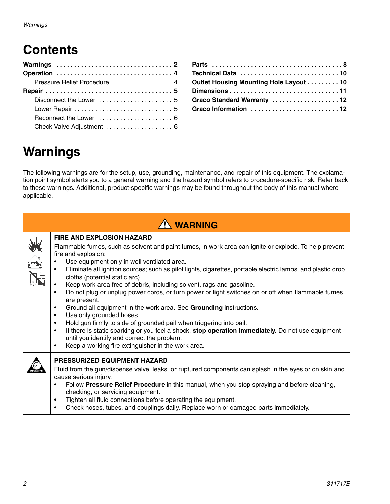# **Contents**

|  |  |  |  |  | Pressure Relief Procedure  4<br>Check Valve Adjustment  6 |
|--|--|--|--|--|-----------------------------------------------------------|

| Outlet Housing Mounting Hole Layout 10 |  |
|----------------------------------------|--|
|                                        |  |
| Graco Standard Warranty 12             |  |
| Graco Information 12                   |  |

# **Warnings**

The following warnings are for the setup, use, grounding, maintenance, and repair of this equipment. The exclamation point symbol alerts you to a general warning and the hazard symbol refers to procedure-specific risk. Refer back to these warnings. Additional, product-specific warnings may be found throughout the body of this manual where applicable.

|                                                         | $\hat{N}$ WARNING                                                                                                                                                                                                                                                                                                                                                                                                                                                                                                                                                                                                                                                                                                                                                                                                                                                                                                                                                                                                 |
|---------------------------------------------------------|-------------------------------------------------------------------------------------------------------------------------------------------------------------------------------------------------------------------------------------------------------------------------------------------------------------------------------------------------------------------------------------------------------------------------------------------------------------------------------------------------------------------------------------------------------------------------------------------------------------------------------------------------------------------------------------------------------------------------------------------------------------------------------------------------------------------------------------------------------------------------------------------------------------------------------------------------------------------------------------------------------------------|
| $\begin{bmatrix} 1 & 1 \\ 1 & 1 \\ 1 & 1 \end{bmatrix}$ | <b>FIRE AND EXPLOSION HAZARD</b><br>Flammable fumes, such as solvent and paint fumes, in work area can ignite or explode. To help prevent<br>fire and explosion:<br>Use equipment only in well ventilated area.<br>Eliminate all ignition sources; such as pilot lights, cigarettes, portable electric lamps, and plastic drop<br>cloths (potential static arc).<br>Keep work area free of debris, including solvent, rags and gasoline.<br>Do not plug or unplug power cords, or turn power or light switches on or off when flammable fumes<br>$\bullet$<br>are present.<br>Ground all equipment in the work area. See Grounding instructions.<br>$\bullet$<br>Use only grounded hoses.<br>$\bullet$<br>Hold gun firmly to side of grounded pail when triggering into pail.<br>$\bullet$<br>If there is static sparking or you feel a shock, stop operation immediately. Do not use equipment<br>$\bullet$<br>until you identify and correct the problem.<br>Keep a working fire extinguisher in the work area. |
|                                                         | <b>PRESSURIZED EQUIPMENT HAZARD</b><br>Fluid from the gun/dispense valve, leaks, or ruptured components can splash in the eyes or on skin and<br>cause serious injury.<br>Follow Pressure Relief Procedure in this manual, when you stop spraying and before cleaning,<br>checking, or servicing equipment.<br>Tighten all fluid connections before operating the equipment.<br>Check hoses, tubes, and couplings daily. Replace worn or damaged parts immediately.                                                                                                                                                                                                                                                                                                                                                                                                                                                                                                                                               |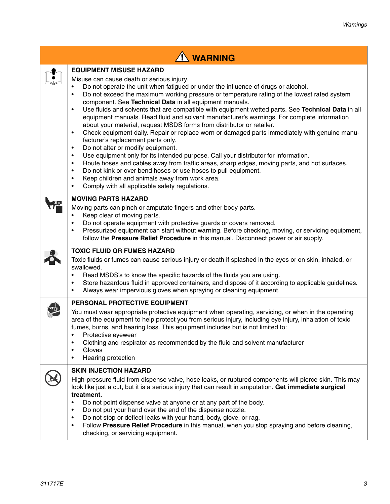| <b>N</b> WARNING                                                                                                                                                                                                                                                                                                                                                                                                                                                                                                                                                                                                                                                                                                                                                                                                                                                                                                                                                                                                                                                                                                                                                                                                                                                    |
|---------------------------------------------------------------------------------------------------------------------------------------------------------------------------------------------------------------------------------------------------------------------------------------------------------------------------------------------------------------------------------------------------------------------------------------------------------------------------------------------------------------------------------------------------------------------------------------------------------------------------------------------------------------------------------------------------------------------------------------------------------------------------------------------------------------------------------------------------------------------------------------------------------------------------------------------------------------------------------------------------------------------------------------------------------------------------------------------------------------------------------------------------------------------------------------------------------------------------------------------------------------------|
| <b>EQUIPMENT MISUSE HAZARD</b><br>Misuse can cause death or serious injury.<br>Do not operate the unit when fatigued or under the influence of drugs or alcohol.<br>٠<br>Do not exceed the maximum working pressure or temperature rating of the lowest rated system<br>٠<br>component. See Technical Data in all equipment manuals.<br>Use fluids and solvents that are compatible with equipment wetted parts. See Technical Data in all<br>$\bullet$<br>equipment manuals. Read fluid and solvent manufacturer's warnings. For complete information<br>about your material, request MSDS forms from distributor or retailer.<br>Check equipment daily. Repair or replace worn or damaged parts immediately with genuine manu-<br>$\bullet$<br>facturer's replacement parts only.<br>Do not alter or modify equipment.<br>$\bullet$<br>Use equipment only for its intended purpose. Call your distributor for information.<br>$\bullet$<br>Route hoses and cables away from traffic areas, sharp edges, moving parts, and hot surfaces.<br>$\bullet$<br>Do not kink or over bend hoses or use hoses to pull equipment.<br>$\bullet$<br>Keep children and animals away from work area.<br>$\bullet$<br>Comply with all applicable safety regulations.<br>$\bullet$ |
| <b>MOVING PARTS HAZARD</b><br>Moving parts can pinch or amputate fingers and other body parts.<br>Keep clear of moving parts.<br>$\bullet$<br>Do not operate equipment with protective guards or covers removed.<br>$\bullet$<br>Pressurized equipment can start without warning. Before checking, moving, or servicing equipment,<br>$\bullet$<br>follow the Pressure Relief Procedure in this manual. Disconnect power or air supply.<br><b>TOXIC FLUID OR FUMES HAZARD</b><br>Toxic fluids or fumes can cause serious injury or death if splashed in the eyes or on skin, inhaled, or<br>swallowed.<br>Read MSDS's to know the specific hazards of the fluids you are using.<br>$\bullet$<br>Store hazardous fluid in approved containers, and dispose of it according to applicable guidelines.<br>$\bullet$                                                                                                                                                                                                                                                                                                                                                                                                                                                    |
| Always wear impervious gloves when spraying or cleaning equipment.<br>$\bullet$<br>PERSONAL PROTECTIVE EQUIPMENT<br>You must wear appropriate protective equipment when operating, servicing, or when in the operating<br>area of the equipment to help protect you from serious injury, including eye injury, inhalation of toxic<br>fumes, burns, and hearing loss. This equipment includes but is not limited to:<br>Protective eyewear<br>٠<br>Clothing and respirator as recommended by the fluid and solvent manufacturer<br>$\bullet$<br>Gloves<br>$\bullet$<br>Hearing protection<br>$\bullet$                                                                                                                                                                                                                                                                                                                                                                                                                                                                                                                                                                                                                                                              |
| <b>SKIN INJECTION HAZARD</b><br>High-pressure fluid from dispense valve, hose leaks, or ruptured components will pierce skin. This may<br>look like just a cut, but it is a serious injury that can result in amputation. Get immediate surgical<br>treatment.<br>Do not point dispense valve at anyone or at any part of the body.<br>$\bullet$<br>Do not put your hand over the end of the dispense nozzle.<br>٠<br>Do not stop or deflect leaks with your hand, body, glove, or rag.<br>$\bullet$<br>Follow Pressure Relief Procedure in this manual, when you stop spraying and before cleaning,<br>$\bullet$<br>checking, or servicing equipment.                                                                                                                                                                                                                                                                                                                                                                                                                                                                                                                                                                                                              |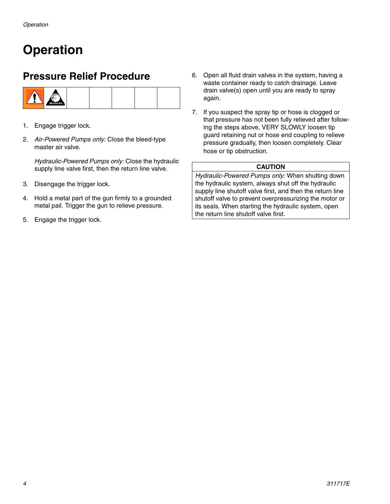# <span id="page-3-0"></span>**Operation**

### <span id="page-3-1"></span>**Pressure Relief Procedure**



- 1. Engage trigger lock.
- 2. *Air-Powered Pumps only:* Close the bleed-type master air valve.

*Hydraulic-Powered Pumps only:* Close the hydraulic supply line valve first, then the return line valve.

- 3. Disengage the trigger lock.
- 4. Hold a metal part of the gun firmly to a grounded metal pail. Trigger the gun to relieve pressure.
- 5. Engage the trigger lock.
- 6. Open all fluid drain valves in the system, having a waste container ready to catch drainage. Leave drain valve(s) open until you are ready to spray again.
- 7. If you suspect the spray tip or hose is clogged or that pressure has not been fully relieved after following the steps above, VERY SLOWLY loosen tip guard retaining nut or hose end coupling to relieve pressure gradually, then loosen completely. Clear hose or tip obstruction.

#### **CAUTION**

*Hydraulic-Powered Pumps only:* When shutting down the hydraulic system, always shut off the hydraulic supply line shutoff valve first, and then the return line shutoff valve to prevent overpressurizing the motor or its seals. When starting the hydraulic system, open the return line shutoff valve first.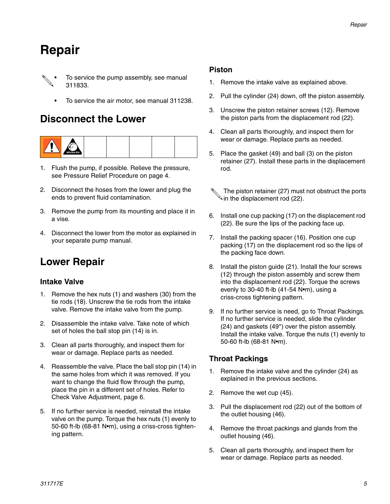# <span id="page-4-0"></span>**Repair**

- To service the pump assembly, see manual 311833.
	- To service the air motor, see manual 311238.

### <span id="page-4-1"></span>**Disconnect the Lower**



- 1. Flush the pump, if possible. Relieve the pressure, see Pressure Relief Procedure on page [4](#page-3-1).
- 2. Disconnect the hoses from the lower and plug the ends to prevent fluid contamination.
- 3. Remove the pump from its mounting and place it in a vise.
- 4. Disconnect the lower from the motor as explained in your separate pump manual.

### <span id="page-4-2"></span>**Lower Repair**

### **Intake Valve**

- 1. Remove the hex nuts (1) and washers (30) from the tie rods (18). Unscrew the tie rods from the intake valve. Remove the intake valve from the pump.
- 2. Disassemble the intake valve. Take note of which set of holes the ball stop pin (14) is in.
- 3. Clean all parts thoroughly, and inspect them for wear or damage. Replace parts as needed.
- 4. Reassemble the valve. Place the ball stop pin (14) in the same holes from which it was removed. If you want to change the fluid flow through the pump, place the pin in a different set of holes. Refer to Check Valve Adjustment, page [6.](#page-5-1)
- 5. If no further service is needed, reinstall the intake valve on the pump. Torque the hex nuts (1) evenly to 50-60 ft-lb (68-81 N•m), using a criss-cross tightening pattern.

#### **Piston**

- 1. Remove the intake valve as explained above.
- 2. Pull the cylinder (24) down, off the piston assembly.
- 3. Unscrew the piston retainer screws (12). Remove the piston parts from the displacement rod (22).
- 4. Clean all parts thoroughly, and inspect them for wear or damage. Replace parts as needed.
- 5. Place the gasket (49) and ball (3) on the piston retainer (27). Install these parts in the displacement rod.
	- The piston retainer (27) must not obstruct the ports  $\mathbb A$  in the displacement rod (22).
- 6. Install one cup packing (17) on the displacement rod (22). Be sure the lips of the packing face up.
- 7. Install the packing spacer (16). Position one cup packing (17) on the displacement rod so the lips of the packing face down.
- 8. Install the piston guide (21). Install the four screws (12) through the piston assembly and screw them into the displacement rod (22). Torque the screws evenly to 30-40 ft-lb (41-54 N•m), using a criss-cross tightening pattern.
- 9. If no further service is need, go to Throat Packings. If no further service is needed, slide the cylinder (24) and gaskets (49\*) over the piston assembly. Install the intake valve. Torque the nuts (1) evenly to 50-60 ft-lb (68-81 N•m).

### **Throat Packings**

- 1. Remove the intake valve and the cylinder (24) as explained in the previous sections.
- 2. Remove the wet cup (45).
- 3. Pull the displacement rod (22) out of the bottom of the outlet housing (46).
- 4. Remove the throat packings and glands from the outlet housing (46).
- 5. Clean all parts thoroughly, and inspect them for wear or damage. Replace parts as needed.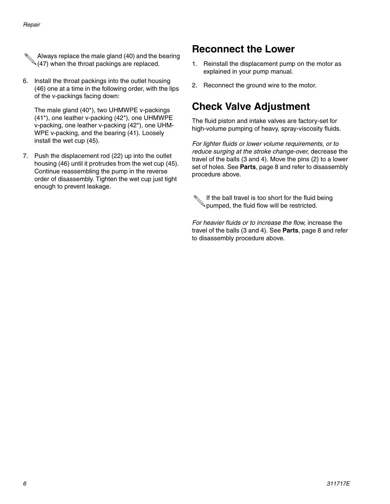- Always replace the male gland (40) and the bearing  $\mathcal{A}(47)$  when the throat packings are replaced.
- 6. Install the throat packings into the outlet housing (46) one at a time in the following order, with the lips of the v-packings facing down:

The male gland (40\*), two UHMWPE v-packings (41\*), one leather v-packing (42\*), one UHMWPE v-packing, one leather v-packing (42\*), one UHM-WPE v-packing, and the bearing (41). Loosely install the wet cup (45).

7. Push the displacement rod (22) up into the outlet housing (46) until it protrudes from the wet cup (45). Continue reassembling the pump in the reverse order of disassembly. Tighten the wet cup just tight enough to prevent leakage.

### <span id="page-5-0"></span>**Reconnect the Lower**

- 1. Reinstall the displacement pump on the motor as explained in your pump manual.
- 2. Reconnect the ground wire to the motor.

### <span id="page-5-1"></span>**Check Valve Adjustment**

The fluid piston and intake valves are factory-set for high-volume pumping of heavy, spray-viscosity fluids.

*For lighter fluids or lower volume requirements, or to reduce surging at the stroke change-over,* decrease the travel of the balls (3 and 4). Move the pins (2) to a lower set of holes. See **[Parts](#page-7-0)**, page [8](#page-7-0) and refer to disassembly procedure above.

If the ball travel is too short for the fluid being pumped, the fluid flow will be restricted.

*For heavier fluids or to increase the flow,* increase the travel of the balls (3 and 4). See **[Parts](#page-7-0)**, page [8](#page-7-0) and refer to disassembly procedure above.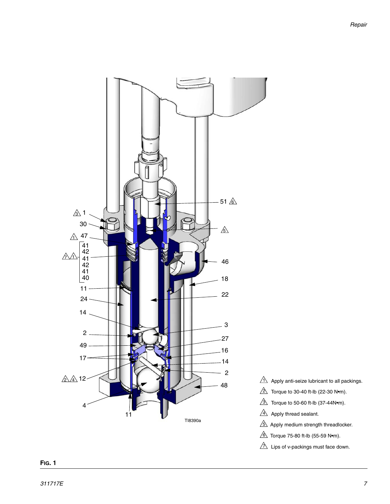

- Apply anti-seize lubricant to all packings.
- Torque to 30-40 ft-lb (22-30 N•m).
- $\mathbb{R}$  Torque to 50-60 ft-lb (37-44N•m).
- Apply thread sealant.
- $5\text{\textdegree}$  Apply medium strength threadlocker.
- $\textcircled{\textsc{i}}$  Torque 75-80 ft-lb (55-59 N•m).
- $\Delta$  Lips of v-packings must face down.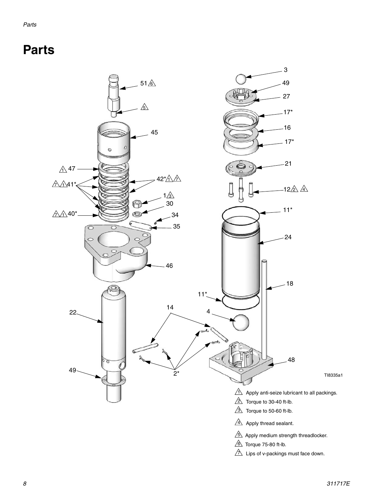# <span id="page-7-0"></span>**Parts**

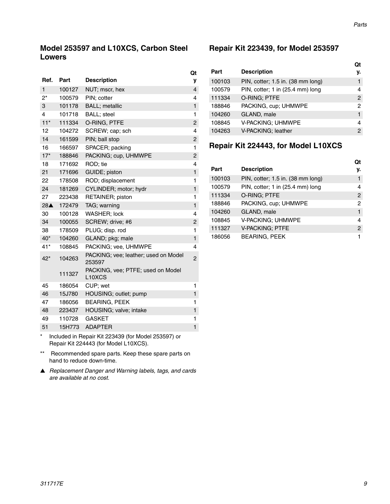### **Model 253597 and L10XCS, Carbon Steel Lowers**

|                    |        |                                                          | Qt             |
|--------------------|--------|----------------------------------------------------------|----------------|
| Ref.               | Part   | <b>Description</b>                                       | y              |
| 1                  | 100127 | NUT; mscr, hex                                           | $\overline{4}$ |
| $2^*$              | 100579 | PIN; cotter                                              | 4              |
| 3                  | 101178 | <b>BALL</b> ; metallic                                   | $\mathbf{1}$   |
| 4                  | 101718 | BALL; steel                                              | 1              |
| $11*$              | 111334 | O-RING, PTFE                                             | $\overline{c}$ |
| 12                 | 104272 | SCREW; cap; sch                                          | 4              |
| 14                 | 161599 | PIN; ball stop                                           | $\overline{c}$ |
| 16                 | 166597 | SPACER; packing                                          | 1              |
| $17*$              | 188846 | PACKING; cup, UHMWPE                                     | $\overline{c}$ |
| 18                 | 171692 | ROD; tie                                                 | 4              |
| 21                 | 171696 | GUIDE; piston                                            | $\mathbf{1}$   |
| 22                 | 178508 | ROD; displacement                                        | 1              |
| 24                 | 181269 | CYLINDER; motor; hydr                                    | $\mathbf{1}$   |
| 27                 | 223438 | RETAINER; piston                                         | 1              |
| $28\blacktriangle$ | 172479 | TAG; warning                                             | $\mathbf{1}$   |
| 30                 | 100128 | WASHER; lock                                             | 4              |
| 34                 | 100055 | SCREW; drive; #6                                         | 2              |
| 38                 | 178509 | PLUG; disp. rod                                          | 1              |
| 40*                | 104260 | GLAND; pkg; male                                         | $\mathbf{1}$   |
| 41*                | 108845 | PACKING; vee, UHMWPE                                     | 4              |
| 42*                | 104263 | PACKING; vee; leather; used on Model<br>253597           | $\overline{c}$ |
|                    | 111327 | PACKING, vee; PTFE; used on Model<br>L <sub>10</sub> XCS |                |
| 45                 | 186054 | CUP; wet                                                 | 1              |
| 46                 | 15J780 | HOUSING; outlet; pump                                    | $\mathbf{1}$   |
| 47                 | 186056 | <b>BEARING, PEEK</b>                                     | 1              |
| 48                 | 223437 | HOUSING; valve; intake                                   | $\mathbf{1}$   |
| 49                 | 110728 | <b>GASKET</b>                                            | 1              |
| 51                 | 15H773 | <b>ADAPTER</b>                                           | $\mathbf{1}$   |
|                    |        | $\cdots$                                                 |                |

Included in Repair Kit 223439 (for Model 253597) or Repair Kit 224443 (for Model L10XCS).

- \*\* Recommended spare parts. Keep these spare parts on hand to reduce down-time.
- ▲ *Replacement Danger and Warning labels, tags, and cards are available at no cost.*

#### **Repair Kit 223439, for Model 253597**

| Part   | <b>Description</b>                | Ωt<br>٧. |
|--------|-----------------------------------|----------|
| 100103 | PIN, cotter; 1.5 in. (38 mm long) | 1        |
| 100579 | PIN, cotter; 1 in (25.4 mm) long  | 4        |
| 111334 | O-RING; PTFE                      | 2        |
| 188846 | PACKING, cup; UHMWPE              | 2        |
| 104260 | GLAND, male                       | 1        |
| 108845 | V-PACKING: UHMWPE                 | 4        |
| 104263 | V-PACKING; leather                | 2        |

### **Repair Kit 224443, for Model L10XCS**

|  |        |                                   | Qt             |
|--|--------|-----------------------------------|----------------|
|  | Part   | <b>Description</b>                | y.             |
|  | 100103 | PIN, cotter; 1.5 in. (38 mm long) | 1              |
|  | 100579 | PIN, cotter; 1 in (25.4 mm) long  | 4              |
|  | 111334 | O-RING; PTFE                      | $\overline{2}$ |
|  | 188846 | PACKING, cup; UHMWPE              | 2              |
|  | 104260 | GLAND, male                       | 1              |
|  | 108845 | V-PACKING; UHMWPE                 | 4              |
|  | 111327 | <b>V-PACKING; PTFE</b>            | 2              |
|  | 186056 | <b>BEARING, PEEK</b>              |                |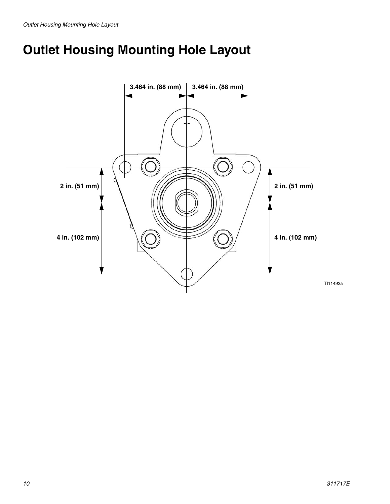# <span id="page-9-0"></span>**Outlet Housing Mounting Hole Layout**

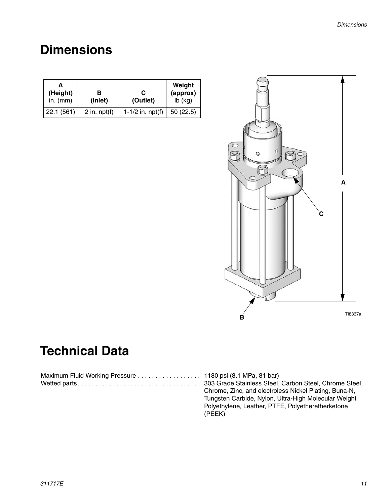# <span id="page-10-0"></span>**Dimensions**

| (Height)<br>in. $(mm)$ | в<br>(Inlet)   | С<br>(Outlet)      | Weight<br>(approx)<br>$lb$ (kg) |
|------------------------|----------------|--------------------|---------------------------------|
| 22.1(561)              | 2 in. $npt(f)$ | 1-1/2 in. $npt(f)$ | 50(22.5)                        |



Polyethylene, Leather, PTFE, Polyetheretherketone

# **Technical Data**

| Chrome, Zinc, and electroless Nickel Plating, Buna-N, |
|-------------------------------------------------------|
| Tungsten Carbide, Nylon, Ultra-High Molecular Weight  |

(PEEK)